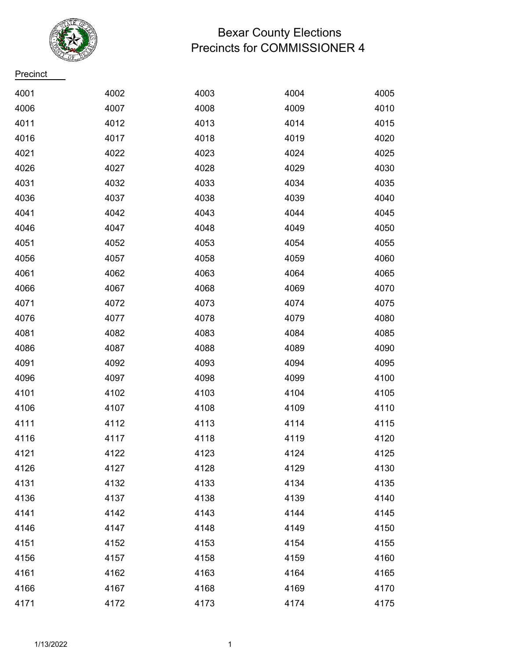

## Bexar County Elections Precincts for COMMISSIONER 4

**Precinct** 

| 4001 | 4002 | 4003 | 4004 | 4005 |
|------|------|------|------|------|
| 4006 | 4007 | 4008 | 4009 | 4010 |
| 4011 | 4012 | 4013 | 4014 | 4015 |
| 4016 | 4017 | 4018 | 4019 | 4020 |
| 4021 | 4022 | 4023 | 4024 | 4025 |
| 4026 | 4027 | 4028 | 4029 | 4030 |
| 4031 | 4032 | 4033 | 4034 | 4035 |
| 4036 | 4037 | 4038 | 4039 | 4040 |
| 4041 | 4042 | 4043 | 4044 | 4045 |
| 4046 | 4047 | 4048 | 4049 | 4050 |
| 4051 | 4052 | 4053 | 4054 | 4055 |
| 4056 | 4057 | 4058 | 4059 | 4060 |
| 4061 | 4062 | 4063 | 4064 | 4065 |
| 4066 | 4067 | 4068 | 4069 | 4070 |
| 4071 | 4072 | 4073 | 4074 | 4075 |
| 4076 | 4077 | 4078 | 4079 | 4080 |
| 4081 | 4082 | 4083 | 4084 | 4085 |
| 4086 | 4087 | 4088 | 4089 | 4090 |
| 4091 | 4092 | 4093 | 4094 | 4095 |
| 4096 | 4097 | 4098 | 4099 | 4100 |
| 4101 | 4102 | 4103 | 4104 | 4105 |
| 4106 | 4107 | 4108 | 4109 | 4110 |
| 4111 | 4112 | 4113 | 4114 | 4115 |
| 4116 | 4117 | 4118 | 4119 | 4120 |
| 4121 | 4122 | 4123 | 4124 | 4125 |
| 4126 | 4127 | 4128 | 4129 | 4130 |
| 4131 | 4132 | 4133 | 4134 | 4135 |
| 4136 | 4137 | 4138 | 4139 | 4140 |
| 4141 | 4142 | 4143 | 4144 | 4145 |
| 4146 | 4147 | 4148 | 4149 | 4150 |
| 4151 | 4152 | 4153 | 4154 | 4155 |
| 4156 | 4157 | 4158 | 4159 | 4160 |
| 4161 | 4162 | 4163 | 4164 | 4165 |
| 4166 | 4167 | 4168 | 4169 | 4170 |
| 4171 | 4172 | 4173 | 4174 | 4175 |